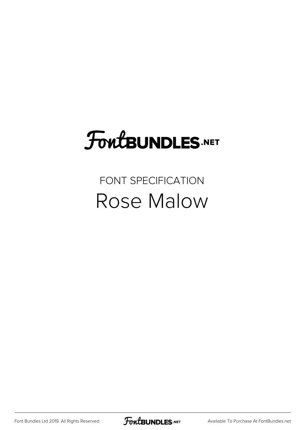## FoutBUNDLES.NET

## FONT SPECIFICATION Rose Malow

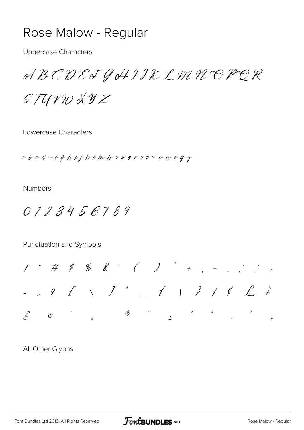## Rose Malow - Regular

**Uppercase Characters** 

ABCDEJGHIIKLMNOPOR

 $STUVWXYZ$ 

Lowercase Characters

abcdetghijklmnopfnstuuwkyz

**Numbers** 

0123456789

Punctuation and Symbols

 $1''$  # \$ % & ' ( ) \* + , - , ; ; <  $=$  ,  $?$   $($   $\vee$   $)$   $^{\wedge}$   $=$   $($   $\vee$   $)$   $j$   $j$   $j$   $j$   $j$  $\mathbb{C}$  and  $\mathbb{C}$  $\overline{\mathcal{S}}$ 

All Other Glyphs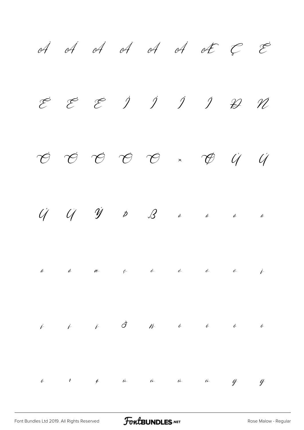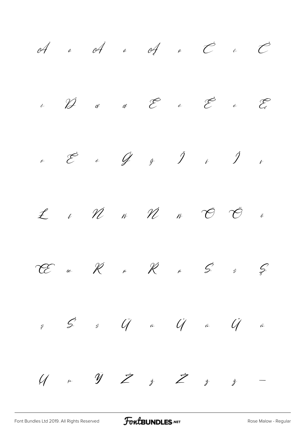of a of a of a  $\vec{c}$  i  $\vec{c}$  $\mathcal{E}$  $\alpha$  at  $\overline{\mathcal{C}}$  at  $\overline{\mathcal{C}}$  at  $\overline{\mathcal{C}}$  at  $\overline{\mathcal{C}}$  at  $\overline{\mathcal{C}}$  $\overline{\mathscr{D}}$  $\dot{\mathcal{L}}$  $\begin{array}{ccccc} \mathcal{E} & \mathcal{E} & \mathcal{E} & \mathcal{E} & \mathcal{E} & \mathcal{E} & \mathcal{E} & \mathcal{E} & \mathcal{E} & \mathcal{E} & \mathcal{E} & \mathcal{E} & \mathcal{E} & \mathcal{E} & \mathcal{E} & \mathcal{E} & \mathcal{E} & \mathcal{E} & \mathcal{E} & \mathcal{E} & \mathcal{E} & \mathcal{E} & \mathcal{E} & \mathcal{E} & \mathcal{E} & \mathcal{E} & \mathcal{E} & \mathcal{E} & \mathcal{E} & \mathcal{E} & \math$  $\overline{V}$  $\acute{n}$   $\qquad \gamma\acute{\ell}$  $\tilde{\mathcal{C}}$  $\n *L*\n$  $\mathscr{W}$  $\overline{\mathcal{O}}$  $\ell$  $\hat{N}$  $\ddot{\mathscr{E}}$  $R$  in  $R$  in  $\mathcal{L}$  $\mathcal{S}$  $\mathscr{C}$  $\acute{S}$ œ g  $\ddot{a}$  $\mathcal{U}$  and  $\hat{y}$   $\hat{z}$  $\dot{z}$   $\dot{Z}$  $\dot{z}$   $\dot{z}$ 

FontBUNDLES.NET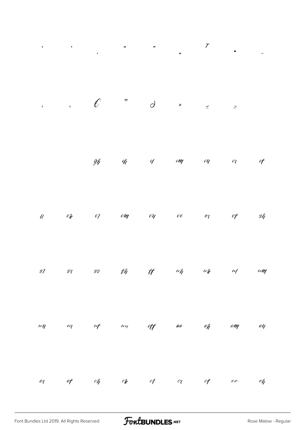| $\pmb{\epsilon}$                |                          |         |                                                                      |       |          | $\mathcal{T}$                                                                                                   | $\ddot{ }$         |
|---------------------------------|--------------------------|---------|----------------------------------------------------------------------|-------|----------|-----------------------------------------------------------------------------------------------------------------|--------------------|
|                                 |                          |         | $\therefore$ $\theta$ <sup><i>m</i></sup> $\theta$ <i>z</i> $\leq$ 2 |       |          |                                                                                                                 |                    |
|                                 |                          |         |                                                                      |       |          | gh in in im in in                                                                                               | if                 |
| $\mathscr{U}$                   |                          |         |                                                                      |       |          | $\mathcal{O}_k$ $\mathcal{O}_l$ $\mathcal{O}_m$ $\mathcal{O}_l$ $\mathcal{O}_l$ $\mathcal{O}_l$ $\mathcal{O}_l$ | $\mathscr{G}_\ell$ |
| $\mathscr{G}$                   | $\mathcal{G}\mathcal{U}$ |         | ss th tt                                                             |       |          | $\omega_{h}$ $\omega_{k}$ $\omega_{l}$                                                                          | $\iota\iota\eta$   |
| $\omega q$                      | $\omega$                 | $u$ f   | $\mu$                                                                | aa ap |          | am                                                                                                              | an                 |
| $\mathcal{C}\!\wr\!\mathcal{C}$ | af                       | $c\eta$ | $c$ le $c$ l                                                         |       | $c_7$ of | ee                                                                                                              | $e\hat{h}$         |